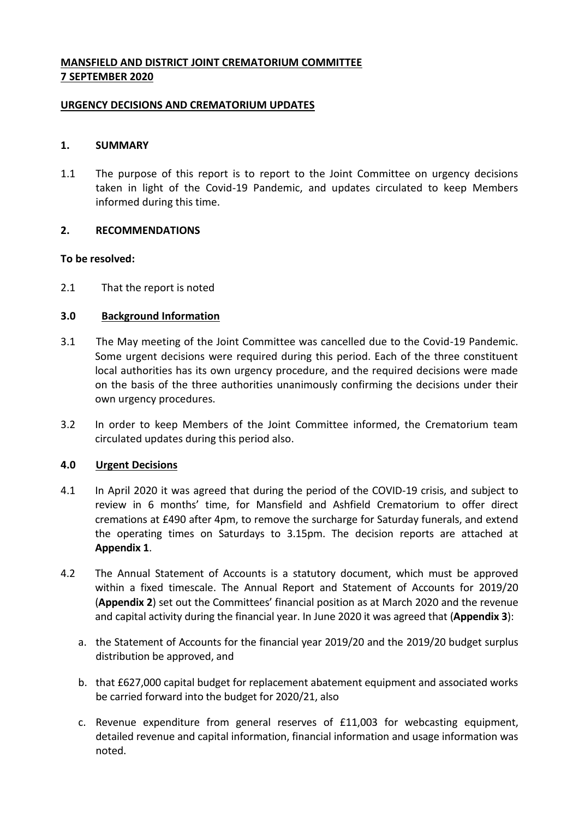# **MANSFIELD AND DISTRICT JOINT CREMATORIUM COMMITTEE 7 SEPTEMBER 2020**

### **URGENCY DECISIONS AND CREMATORIUM UPDATES**

### **1. SUMMARY**

1.1 The purpose of this report is to report to the Joint Committee on urgency decisions taken in light of the Covid-19 Pandemic, and updates circulated to keep Members informed during this time.

#### **2. RECOMMENDATIONS**

#### **To be resolved:**

2.1 That the report is noted

#### **3.0 Background Information**

- 3.1 The May meeting of the Joint Committee was cancelled due to the Covid-19 Pandemic. Some urgent decisions were required during this period. Each of the three constituent local authorities has its own urgency procedure, and the required decisions were made on the basis of the three authorities unanimously confirming the decisions under their own urgency procedures.
- 3.2 In order to keep Members of the Joint Committee informed, the Crematorium team circulated updates during this period also.

#### **4.0 Urgent Decisions**

- 4.1 In April 2020 it was agreed that during the period of the COVID-19 crisis, and subject to review in 6 months' time, for Mansfield and Ashfield Crematorium to offer direct cremations at £490 after 4pm, to remove the surcharge for Saturday funerals, and extend the operating times on Saturdays to 3.15pm. The decision reports are attached at **Appendix 1**.
- 4.2 The Annual Statement of Accounts is a statutory document, which must be approved within a fixed timescale. The Annual Report and Statement of Accounts for 2019/20 (**Appendix 2**) set out the Committees' financial position as at March 2020 and the revenue and capital activity during the financial year. In June 2020 it was agreed that (**Appendix 3**):
	- a. the Statement of Accounts for the financial year 2019/20 and the 2019/20 budget surplus distribution be approved, and
	- b. that £627,000 capital budget for replacement abatement equipment and associated works be carried forward into the budget for 2020/21, also
	- c. Revenue expenditure from general reserves of £11,003 for webcasting equipment, detailed revenue and capital information, financial information and usage information was noted.